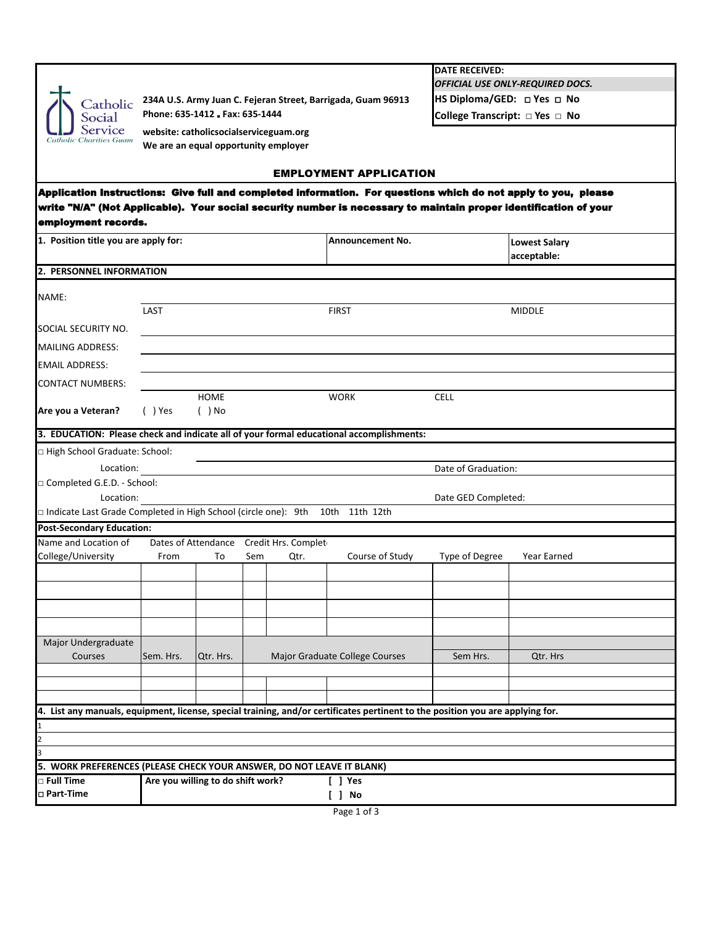|                                                                                                                                             |           |                               |                                         |                                                              | <b>DATE RECEIVED:</b> |                                                               |  |  |  |  |  |
|---------------------------------------------------------------------------------------------------------------------------------------------|-----------|-------------------------------|-----------------------------------------|--------------------------------------------------------------|-----------------------|---------------------------------------------------------------|--|--|--|--|--|
|                                                                                                                                             |           |                               |                                         |                                                              |                       | OFFICIAL USE ONLY-REQUIRED DOCS.<br>HS Diploma/GED: DYes D No |  |  |  |  |  |
| Catholic                                                                                                                                    |           | Phone: 635-1412 Fax: 635-1444 |                                         | 234A U.S. Army Juan C. Fejeran Street, Barrigada, Guam 96913 |                       |                                                               |  |  |  |  |  |
| Social<br>Service                                                                                                                           |           |                               |                                         |                                                              |                       | College Transcript: DYes D No                                 |  |  |  |  |  |
| <b>Catholic Charities Guam</b>                                                                                                              |           |                               | website: catholicsocialserviceguam.org  |                                                              |                       |                                                               |  |  |  |  |  |
|                                                                                                                                             |           |                               | We are an equal opportunity employer    |                                                              |                       |                                                               |  |  |  |  |  |
|                                                                                                                                             |           |                               |                                         | <b>EMPLOYMENT APPLICATION</b>                                |                       |                                                               |  |  |  |  |  |
| Application Instructions: Give full and completed information. For questions which do not apply to you, please                              |           |                               |                                         |                                                              |                       |                                                               |  |  |  |  |  |
| write "N/A" (Not Applicable). Your social security number is necessary to maintain proper identification of your                            |           |                               |                                         |                                                              |                       |                                                               |  |  |  |  |  |
| employment records.                                                                                                                         |           |                               |                                         |                                                              |                       |                                                               |  |  |  |  |  |
| 1. Position title you are apply for:                                                                                                        |           |                               |                                         | <b>Announcement No.</b>                                      |                       |                                                               |  |  |  |  |  |
|                                                                                                                                             |           |                               |                                         |                                                              |                       | <b>Lowest Salary</b><br>acceptable:                           |  |  |  |  |  |
| 2. PERSONNEL INFORMATION                                                                                                                    |           |                               |                                         |                                                              |                       |                                                               |  |  |  |  |  |
|                                                                                                                                             |           |                               |                                         |                                                              |                       |                                                               |  |  |  |  |  |
| NAME:                                                                                                                                       |           |                               |                                         |                                                              |                       |                                                               |  |  |  |  |  |
|                                                                                                                                             | LAST      |                               |                                         | <b>FIRST</b>                                                 |                       | <b>MIDDLE</b>                                                 |  |  |  |  |  |
| SOCIAL SECURITY NO.                                                                                                                         |           |                               |                                         |                                                              |                       |                                                               |  |  |  |  |  |
| <b>MAILING ADDRESS:</b>                                                                                                                     |           |                               |                                         |                                                              |                       |                                                               |  |  |  |  |  |
| EMAIL ADDRESS:                                                                                                                              |           |                               |                                         |                                                              |                       |                                                               |  |  |  |  |  |
| CONTACT NUMBERS:                                                                                                                            |           |                               |                                         |                                                              |                       |                                                               |  |  |  |  |  |
|                                                                                                                                             |           | <b>HOME</b>                   |                                         | <b>WORK</b>                                                  | <b>CELL</b>           |                                                               |  |  |  |  |  |
| Are you a Veteran?                                                                                                                          | $( )$ Yes | $( )$ No                      |                                         |                                                              |                       |                                                               |  |  |  |  |  |
|                                                                                                                                             |           |                               |                                         |                                                              |                       |                                                               |  |  |  |  |  |
| 3. EDUCATION: Please check and indicate all of your formal educational accomplishments:                                                     |           |                               |                                         |                                                              |                       |                                                               |  |  |  |  |  |
| □ High School Graduate: School:                                                                                                             |           |                               |                                         |                                                              |                       |                                                               |  |  |  |  |  |
| Location:                                                                                                                                   |           |                               |                                         |                                                              | Date of Graduation:   |                                                               |  |  |  |  |  |
| □ Completed G.E.D. - School:                                                                                                                |           |                               |                                         |                                                              |                       |                                                               |  |  |  |  |  |
| Location:<br>$\Box$ Indicate Last Grade Completed in High School (circle one): 9th 10th 11th 12th                                           |           |                               |                                         |                                                              | Date GED Completed:   |                                                               |  |  |  |  |  |
| <b>Post-Secondary Education:</b>                                                                                                            |           |                               |                                         |                                                              |                       |                                                               |  |  |  |  |  |
| Name and Location of                                                                                                                        |           |                               | Dates of Attendance Credit Hrs. Complet |                                                              |                       |                                                               |  |  |  |  |  |
| College/University                                                                                                                          | From      | To                            | Qtr.<br>Sem                             | Course of Study                                              | Type of Degree        | <b>Year Earned</b>                                            |  |  |  |  |  |
|                                                                                                                                             |           |                               |                                         |                                                              |                       |                                                               |  |  |  |  |  |
|                                                                                                                                             |           |                               |                                         |                                                              |                       |                                                               |  |  |  |  |  |
|                                                                                                                                             |           |                               |                                         |                                                              |                       |                                                               |  |  |  |  |  |
|                                                                                                                                             |           |                               |                                         |                                                              |                       |                                                               |  |  |  |  |  |
|                                                                                                                                             |           |                               |                                         |                                                              |                       |                                                               |  |  |  |  |  |
| Major Undergraduate<br>Courses                                                                                                              | Sem. Hrs. | Qtr. Hrs.                     |                                         | Major Graduate College Courses                               | Sem Hrs.              | Qtr. Hrs                                                      |  |  |  |  |  |
|                                                                                                                                             |           |                               |                                         |                                                              |                       |                                                               |  |  |  |  |  |
|                                                                                                                                             |           |                               |                                         |                                                              |                       |                                                               |  |  |  |  |  |
|                                                                                                                                             |           |                               |                                         |                                                              |                       |                                                               |  |  |  |  |  |
| 4. List any manuals, equipment, license, special training, and/or certificates pertinent to the position you are applying for.              |           |                               |                                         |                                                              |                       |                                                               |  |  |  |  |  |
|                                                                                                                                             |           |                               |                                         |                                                              |                       |                                                               |  |  |  |  |  |
|                                                                                                                                             |           |                               |                                         |                                                              |                       |                                                               |  |  |  |  |  |
|                                                                                                                                             |           |                               |                                         |                                                              |                       |                                                               |  |  |  |  |  |
| 5. WORK PREFERENCES (PLEASE CHECK YOUR ANSWER, DO NOT LEAVE IT BLANK)<br>Are you willing to do shift work?<br><b>D</b> Full Time<br>[ ] Yes |           |                               |                                         |                                                              |                       |                                                               |  |  |  |  |  |
| □ Part-Time                                                                                                                                 |           |                               |                                         | [ ] No                                                       |                       |                                                               |  |  |  |  |  |
|                                                                                                                                             |           |                               |                                         | $D = 4$                                                      |                       |                                                               |  |  |  |  |  |

Page 1 of 3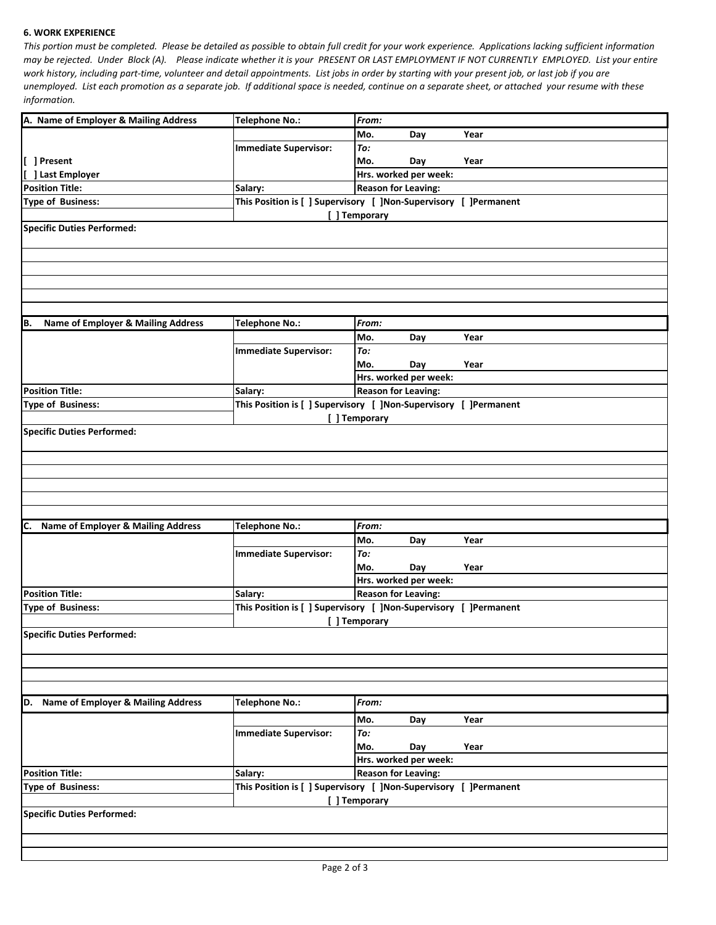## **6. WORK EXPERIENCE**

*This portion must be completed. Please be detailed as possible to obtain full credit for your work experience. Applications lacking sufficient information may be rejected. Under Block (A). Please indicate whether it is your PRESENT OR LAST EMPLOYMENT IF NOT CURRENTLY EMPLOYED. List your entire work history, including part-time, volunteer and detail appointments. List jobs in order by starting with your present job, or last job if you are unemployed. List each promotion as a separate job. If additional space is needed, continue on a separate sheet, or attached your resume with these information.*

|                                                                                              | <b>Telephone No.:</b>                                                       | From:                                                            |                            |      |  |  |
|----------------------------------------------------------------------------------------------|-----------------------------------------------------------------------------|------------------------------------------------------------------|----------------------------|------|--|--|
| A. Name of Employer & Mailing Address                                                        |                                                                             | Mo.                                                              | Day                        | Year |  |  |
|                                                                                              | <b>Immediate Supervisor:</b>                                                | To:                                                              |                            |      |  |  |
| [ ] Present                                                                                  |                                                                             | Mo.                                                              | Day                        | Year |  |  |
| [ ] Last Employer                                                                            |                                                                             | Hrs. worked per week:                                            |                            |      |  |  |
| <b>Position Title:</b>                                                                       | Salary:                                                                     | <b>Reason for Leaving:</b>                                       |                            |      |  |  |
| <b>Type of Business:</b>                                                                     |                                                                             | This Position is [ ] Supervisory [ ]Non-Supervisory [ ]Permanent |                            |      |  |  |
|                                                                                              |                                                                             | [ ] Temporary                                                    |                            |      |  |  |
| <b>Specific Duties Performed:</b>                                                            |                                                                             |                                                                  |                            |      |  |  |
|                                                                                              |                                                                             |                                                                  |                            |      |  |  |
|                                                                                              |                                                                             |                                                                  |                            |      |  |  |
|                                                                                              |                                                                             |                                                                  |                            |      |  |  |
|                                                                                              |                                                                             |                                                                  |                            |      |  |  |
|                                                                                              |                                                                             |                                                                  |                            |      |  |  |
| Name of Employer & Mailing Address<br>B.                                                     | <b>Telephone No.:</b>                                                       | From:                                                            |                            |      |  |  |
|                                                                                              |                                                                             | Mo.                                                              | Day                        | Year |  |  |
|                                                                                              | <b>Immediate Supervisor:</b>                                                | To:                                                              |                            |      |  |  |
|                                                                                              |                                                                             | Mo.                                                              | Day                        | Year |  |  |
|                                                                                              |                                                                             |                                                                  | Hrs. worked per week:      |      |  |  |
| <b>Position Title:</b>                                                                       | Salary:<br>This Position is [ ] Supervisory [ ]Non-Supervisory [ ]Permanent |                                                                  | <b>Reason for Leaving:</b> |      |  |  |
| <b>Type of Business:</b>                                                                     |                                                                             | [] Temporary                                                     |                            |      |  |  |
|                                                                                              |                                                                             |                                                                  |                            |      |  |  |
| C. Name of Employer & Mailing Address                                                        | <b>Telephone No.:</b>                                                       | From:                                                            |                            |      |  |  |
|                                                                                              |                                                                             | Mo.                                                              | Day                        | Year |  |  |
|                                                                                              | <b>Immediate Supervisor:</b>                                                | To:                                                              |                            |      |  |  |
|                                                                                              |                                                                             | Mo.                                                              | Day                        | Year |  |  |
|                                                                                              |                                                                             | Hrs. worked per week:                                            |                            |      |  |  |
| <b>Position Title:</b>                                                                       | Salary:                                                                     | <b>Reason for Leaving:</b>                                       |                            |      |  |  |
| This Position is [ ] Supervisory [ ]Non-Supervisory [ ]Permanent<br><b>Type of Business:</b> |                                                                             |                                                                  |                            |      |  |  |
| [ ] Temporary                                                                                |                                                                             |                                                                  |                            |      |  |  |
|                                                                                              |                                                                             |                                                                  |                            |      |  |  |
| <b>Specific Duties Performed:</b>                                                            |                                                                             |                                                                  |                            |      |  |  |
|                                                                                              |                                                                             |                                                                  |                            |      |  |  |
|                                                                                              |                                                                             |                                                                  |                            |      |  |  |
|                                                                                              |                                                                             |                                                                  |                            |      |  |  |
| D. Name of Employer & Mailing Address                                                        | <b>Telephone No.:</b>                                                       | From:                                                            |                            |      |  |  |
|                                                                                              |                                                                             | Mo.                                                              | Day                        | Year |  |  |
|                                                                                              | <b>Immediate Supervisor:</b>                                                | To:                                                              |                            |      |  |  |
|                                                                                              |                                                                             | Mo.                                                              | Day                        | Year |  |  |
|                                                                                              |                                                                             |                                                                  | Hrs. worked per week:      |      |  |  |
| <b>Position Title:</b>                                                                       | Salary:                                                                     |                                                                  | <b>Reason for Leaving:</b> |      |  |  |
| <b>Type of Business:</b>                                                                     | This Position is [ ] Supervisory [ ] Non-Supervisory [ ] Permanent          |                                                                  |                            |      |  |  |
|                                                                                              |                                                                             | [ ] Temporary                                                    |                            |      |  |  |
| <b>Specific Duties Performed:</b>                                                            |                                                                             |                                                                  |                            |      |  |  |